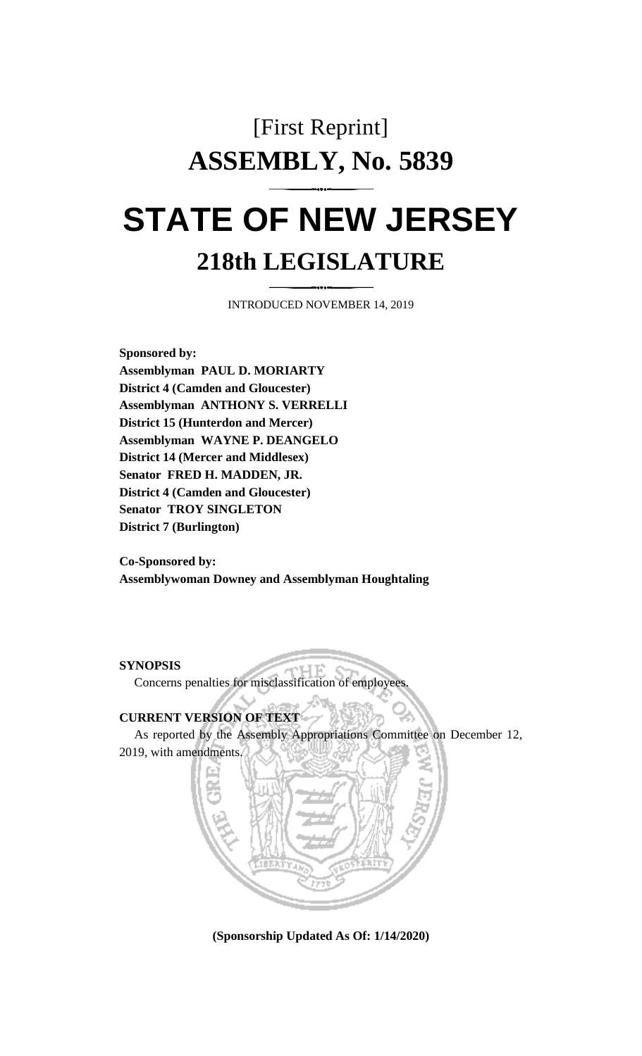# [First Reprint] **ASSEMBLY, No. 5839 STATE OF NEW JERSEY**

## **218th LEGISLATURE**

INTRODUCED NOVEMBER 14, 2019

**Sponsored by: Assemblyman PAUL D. MORIARTY District 4 (Camden and Gloucester) Assemblyman ANTHONY S. VERRELLI District 15 (Hunterdon and Mercer) Assemblyman WAYNE P. DEANGELO District 14 (Mercer and Middlesex) Senator FRED H. MADDEN, JR. District 4 (Camden and Gloucester) Senator TROY SINGLETON District 7 (Burlington)**

**Co-Sponsored by: Assemblywoman Downey and Assemblyman Houghtaling**

**SYNOPSIS**

Concerns penalties for misclassification of employees.

#### **CURRENT VERSION OF TEXT**

As reported by the Assembly Appropriations Committee on December 12, 2019, with amendments.



**(Sponsorship Updated As Of: 1/14/2020)**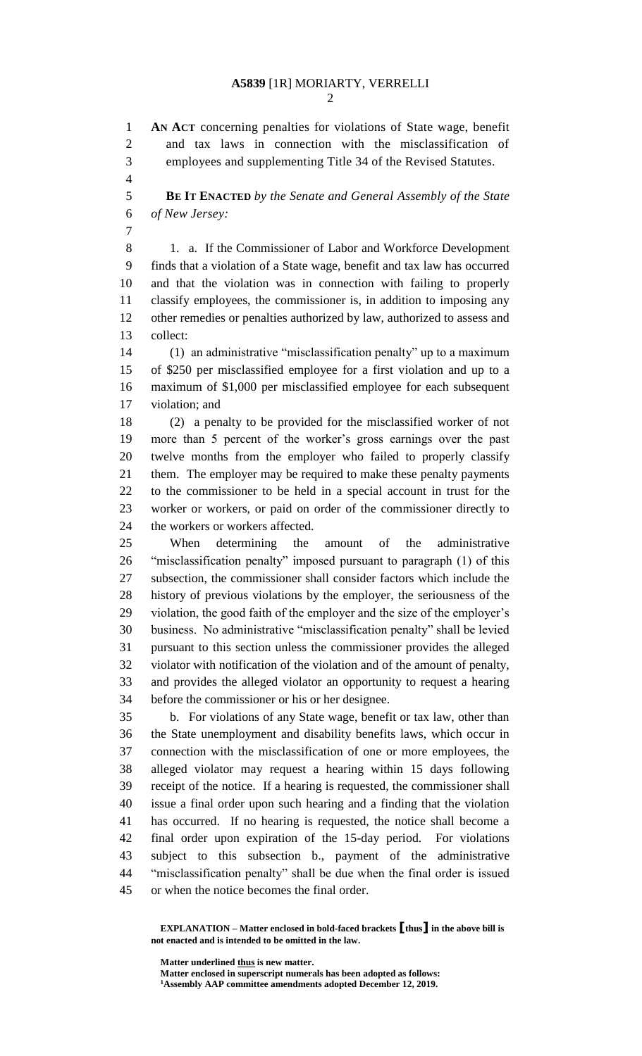### **A5839** [1R] MORIARTY, VERRELLI

 **AN ACT** concerning penalties for violations of State wage, benefit and tax laws in connection with the misclassification of employees and supplementing Title 34 of the Revised Statutes.

 **BE IT ENACTED** *by the Senate and General Assembly of the State of New Jersey:*

 1. a. If the Commissioner of Labor and Workforce Development finds that a violation of a State wage, benefit and tax law has occurred and that the violation was in connection with failing to properly classify employees, the commissioner is, in addition to imposing any other remedies or penalties authorized by law, authorized to assess and collect:

 (1) an administrative "misclassification penalty" up to a maximum of \$250 per misclassified employee for a first violation and up to a maximum of \$1,000 per misclassified employee for each subsequent violation; and

 (2) a penalty to be provided for the misclassified worker of not more than 5 percent of the worker's gross earnings over the past twelve months from the employer who failed to properly classify them. The employer may be required to make these penalty payments to the commissioner to be held in a special account in trust for the worker or workers, or paid on order of the commissioner directly to the workers or workers affected.

 When determining the amount of the administrative "misclassification penalty" imposed pursuant to paragraph (1) of this subsection, the commissioner shall consider factors which include the history of previous violations by the employer, the seriousness of the violation, the good faith of the employer and the size of the employer's business. No administrative "misclassification penalty" shall be levied pursuant to this section unless the commissioner provides the alleged violator with notification of the violation and of the amount of penalty, and provides the alleged violator an opportunity to request a hearing before the commissioner or his or her designee.

 b. For violations of any State wage, benefit or tax law, other than the State unemployment and disability benefits laws, which occur in connection with the misclassification of one or more employees, the alleged violator may request a hearing within 15 days following receipt of the notice. If a hearing is requested, the commissioner shall issue a final order upon such hearing and a finding that the violation has occurred. If no hearing is requested, the notice shall become a final order upon expiration of the 15-day period. For violations subject to this subsection b., payment of the administrative "misclassification penalty" shall be due when the final order is issued or when the notice becomes the final order.

**Matter underlined thus is new matter.**

**Matter enclosed in superscript numerals has been adopted as follows: Assembly AAP committee amendments adopted December 12, 2019.**

**EXPLANATION – Matter enclosed in bold-faced brackets [thus] in the above bill is not enacted and is intended to be omitted in the law.**